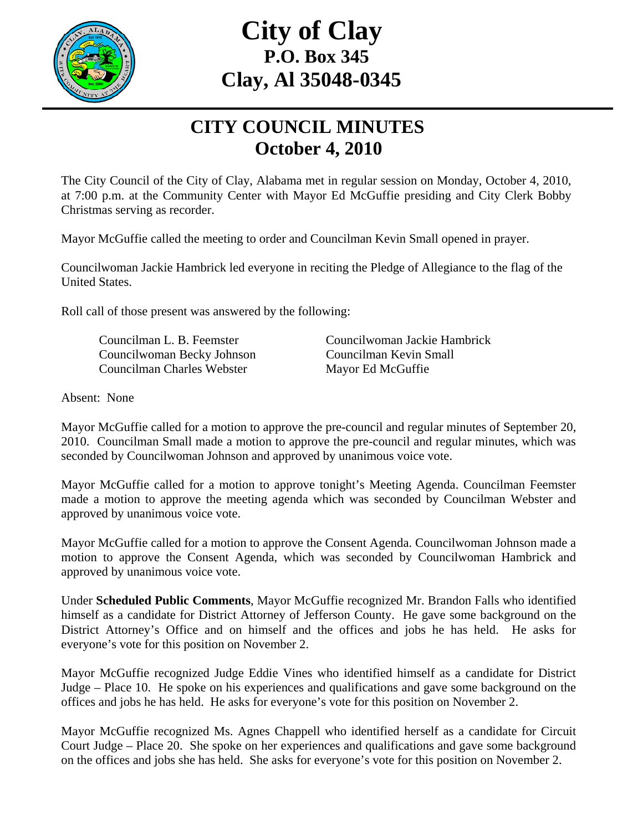

## **City of Clay P.O. Box 345 Clay, Al 35048-0345**

## **CITY COUNCIL MINUTES October 4, 2010**

The City Council of the City of Clay, Alabama met in regular session on Monday, October 4, 2010, at 7:00 p.m. at the Community Center with Mayor Ed McGuffie presiding and City Clerk Bobby Christmas serving as recorder.

Mayor McGuffie called the meeting to order and Councilman Kevin Small opened in prayer.

Councilwoman Jackie Hambrick led everyone in reciting the Pledge of Allegiance to the flag of the United States.

Roll call of those present was answered by the following:

 Councilwoman Becky Johnson Councilman Kevin Small Councilman Charles Webster Mayor Ed McGuffie

Councilman L. B. Feemster Councilwoman Jackie Hambrick

Absent: None

Mayor McGuffie called for a motion to approve the pre-council and regular minutes of September 20, 2010. Councilman Small made a motion to approve the pre-council and regular minutes, which was seconded by Councilwoman Johnson and approved by unanimous voice vote.

Mayor McGuffie called for a motion to approve tonight's Meeting Agenda. Councilman Feemster made a motion to approve the meeting agenda which was seconded by Councilman Webster and approved by unanimous voice vote.

Mayor McGuffie called for a motion to approve the Consent Agenda. Councilwoman Johnson made a motion to approve the Consent Agenda, which was seconded by Councilwoman Hambrick and approved by unanimous voice vote.

Under **Scheduled Public Comments**, Mayor McGuffie recognized Mr. Brandon Falls who identified himself as a candidate for District Attorney of Jefferson County. He gave some background on the District Attorney's Office and on himself and the offices and jobs he has held. He asks for everyone's vote for this position on November 2.

Mayor McGuffie recognized Judge Eddie Vines who identified himself as a candidate for District Judge – Place 10. He spoke on his experiences and qualifications and gave some background on the offices and jobs he has held. He asks for everyone's vote for this position on November 2.

Mayor McGuffie recognized Ms. Agnes Chappell who identified herself as a candidate for Circuit Court Judge – Place 20. She spoke on her experiences and qualifications and gave some background on the offices and jobs she has held. She asks for everyone's vote for this position on November 2.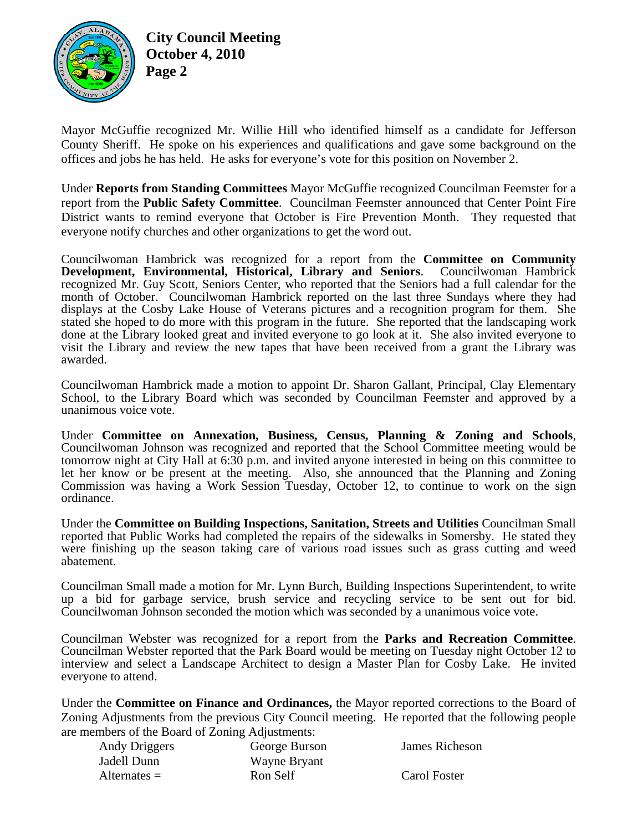

**City Council Meeting October 4, 2010 Page 2** 

Mayor McGuffie recognized Mr. Willie Hill who identified himself as a candidate for Jefferson County Sheriff. He spoke on his experiences and qualifications and gave some background on the offices and jobs he has held. He asks for everyone's vote for this position on November 2.

Under **Reports from Standing Committees** Mayor McGuffie recognized Councilman Feemster for a report from the **Public Safety Committee**. Councilman Feemster announced that Center Point Fire District wants to remind everyone that October is Fire Prevention Month. They requested that everyone notify churches and other organizations to get the word out.

Councilwoman Hambrick was recognized for a report from the **Committee on Community Development, Environmental, Historical, Library and Seniors**. Councilwoman Hambrick recognized Mr. Guy Scott, Seniors Center, who reported that the Seniors had a full calendar for the month of October. Councilwoman Hambrick reported on the last three Sundays where they had displays at the Cosby Lake House of Veterans pictures and a recognition program for them. She stated she hoped to do more with this program in the future. She reported that the landscaping work done at the Library looked great and invited everyone to go look at it. She also invited everyone to visit the Library and review the new tapes that have been received from a grant the Library was awarded.

Councilwoman Hambrick made a motion to appoint Dr. Sharon Gallant, Principal, Clay Elementary School, to the Library Board which was seconded by Councilman Feemster and approved by a unanimous voice vote.

Under **Committee on Annexation, Business, Census, Planning & Zoning and Schools**, Councilwoman Johnson was recognized and reported that the School Committee meeting would be tomorrow night at City Hall at 6:30 p.m. and invited anyone interested in being on this committee to let her know or be present at the meeting. Also, she announced that the Planning and Zoning Commission was having a Work Session Tuesday, October 12, to continue to work on the sign ordinance.

Under the **Committee on Building Inspections, Sanitation, Streets and Utilities** Councilman Small reported that Public Works had completed the repairs of the sidewalks in Somersby. He stated they were finishing up the season taking care of various road issues such as grass cutting and weed abatement.

Councilman Small made a motion for Mr. Lynn Burch, Building Inspections Superintendent, to write up a bid for garbage service, brush service and recycling service to be sent out for bid. Councilwoman Johnson seconded the motion which was seconded by a unanimous voice vote.

Councilman Webster was recognized for a report from the **Parks and Recreation Committee**. Councilman Webster reported that the Park Board would be meeting on Tuesday night October 12 to interview and select a Landscape Architect to design a Master Plan for Cosby Lake. He invited everyone to attend.

Under the **Committee on Finance and Ordinances,** the Mayor reported corrections to the Board of Zoning Adjustments from the previous City Council meeting. He reported that the following people are members of the Board of Zoning Adjustments:

| Andy Driggers  | George Burson |
|----------------|---------------|
| Jadell Dunn    | Wayne Bryant  |
| $Alternates =$ | Ron Self      |

James Richeson

Carol Foster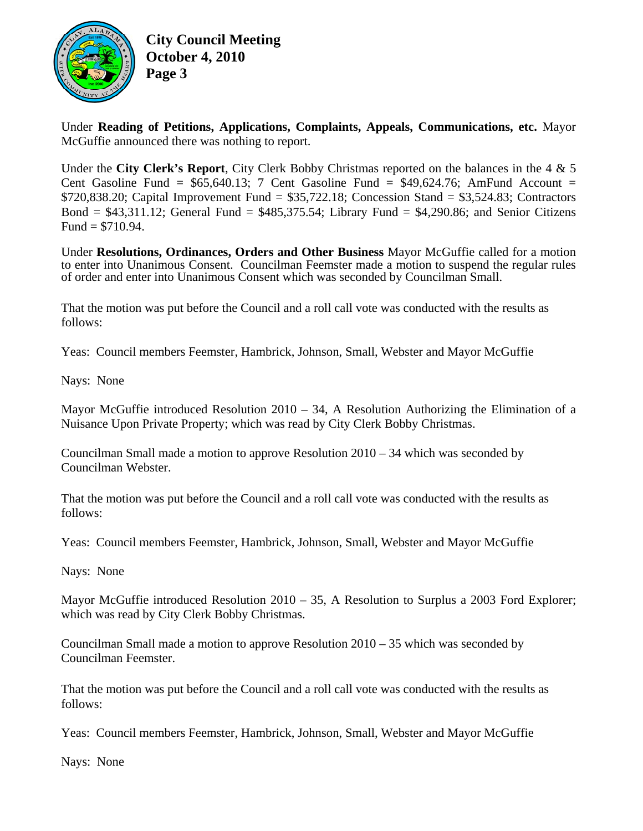

**City Council Meeting October 4, 2010 Page 3** 

Under **Reading of Petitions, Applications, Complaints, Appeals, Communications, etc.** Mayor McGuffie announced there was nothing to report.

Under the **City Clerk's Report**, City Clerk Bobby Christmas reported on the balances in the 4 & 5 Cent Gasoline Fund =  $$65,640.13$ ; 7 Cent Gasoline Fund =  $$49,624.76$ ; AmFund Account =  $$720,838.20$ ; Capital Improvement Fund =  $$35,722.18$ ; Concession Stand =  $$3,524.83$ ; Contractors Bond  $= $43,311.12$ ; General Fund  $= $485,375.54$ ; Library Fund  $= $4,290.86$ ; and Senior Citizens Fund =  $$710.94$ .

Under **Resolutions, Ordinances, Orders and Other Business** Mayor McGuffie called for a motion to enter into Unanimous Consent. Councilman Feemster made a motion to suspend the regular rules of order and enter into Unanimous Consent which was seconded by Councilman Small.

That the motion was put before the Council and a roll call vote was conducted with the results as follows:

Yeas: Council members Feemster, Hambrick, Johnson, Small, Webster and Mayor McGuffie

Nays: None

Mayor McGuffie introduced Resolution 2010 – 34, A Resolution Authorizing the Elimination of a Nuisance Upon Private Property; which was read by City Clerk Bobby Christmas.

Councilman Small made a motion to approve Resolution 2010 – 34 which was seconded by Councilman Webster.

That the motion was put before the Council and a roll call vote was conducted with the results as follows:

Yeas: Council members Feemster, Hambrick, Johnson, Small, Webster and Mayor McGuffie

Nays: None

Mayor McGuffie introduced Resolution 2010 – 35, A Resolution to Surplus a 2003 Ford Explorer; which was read by City Clerk Bobby Christmas.

Councilman Small made a motion to approve Resolution 2010 – 35 which was seconded by Councilman Feemster.

That the motion was put before the Council and a roll call vote was conducted with the results as follows:

Yeas: Council members Feemster, Hambrick, Johnson, Small, Webster and Mayor McGuffie

Nays: None